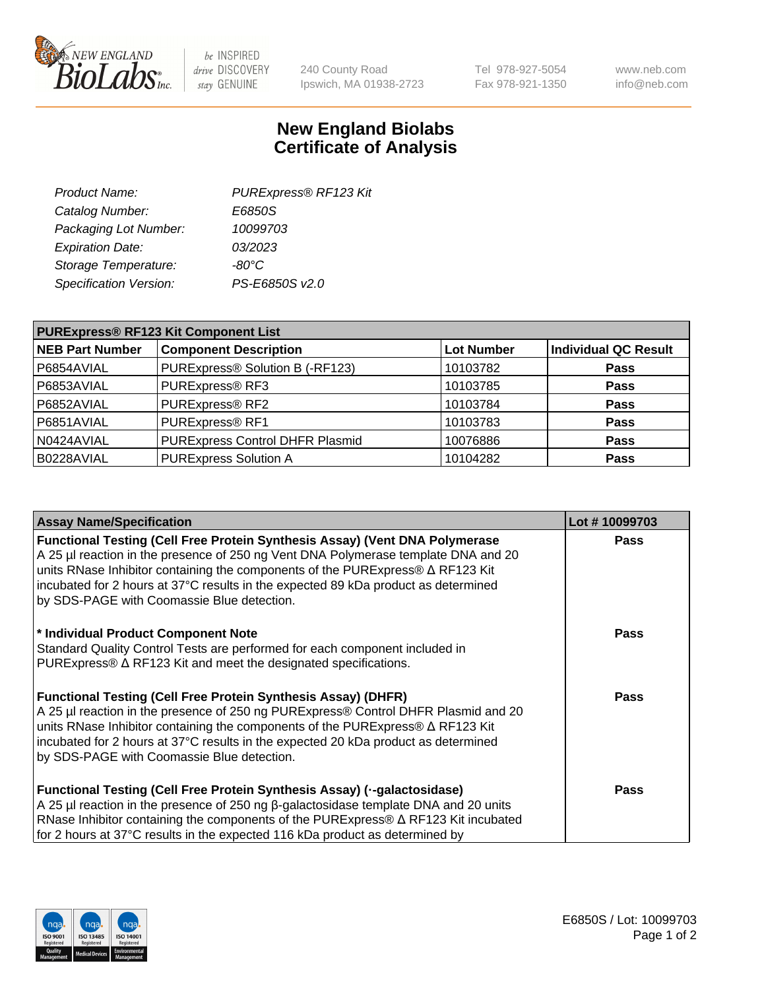

 $be$  INSPIRED drive DISCOVERY stay GENUINE

240 County Road Ipswich, MA 01938-2723 Tel 978-927-5054 Fax 978-921-1350 www.neb.com info@neb.com

## **New England Biolabs Certificate of Analysis**

| PURExpress® RF123 Kit |
|-----------------------|
| E6850S                |
| 10099703              |
| 03/2023               |
| $-80^{\circ}$ C       |
| PS-E6850S v2.0        |
|                       |

| <b>PURExpress® RF123 Kit Component List</b> |                                 |            |                      |  |
|---------------------------------------------|---------------------------------|------------|----------------------|--|
| <b>NEB Part Number</b>                      | <b>Component Description</b>    | Lot Number | Individual QC Result |  |
| P6854AVIAL                                  | PURExpress® Solution B (-RF123) | 10103782   | <b>Pass</b>          |  |
| P6853AVIAL                                  | PURExpress® RF3                 | 10103785   | <b>Pass</b>          |  |
| P6852AVIAL                                  | PURExpress® RF2                 | 10103784   | <b>Pass</b>          |  |
| P6851AVIAL                                  | PURExpress® RF1                 | 10103783   | <b>Pass</b>          |  |
| N0424AVIAL                                  | PURExpress Control DHFR Plasmid | 10076886   | <b>Pass</b>          |  |
| B0228AVIAL                                  | <b>PURExpress Solution A</b>    | 10104282   | <b>Pass</b>          |  |

| <b>Assay Name/Specification</b>                                                                                                                                                                                                                                                                                                                                                                       | Lot #10099703 |
|-------------------------------------------------------------------------------------------------------------------------------------------------------------------------------------------------------------------------------------------------------------------------------------------------------------------------------------------------------------------------------------------------------|---------------|
| <b>Functional Testing (Cell Free Protein Synthesis Assay) (Vent DNA Polymerase</b><br>A 25 µl reaction in the presence of 250 ng Vent DNA Polymerase template DNA and 20<br>units RNase Inhibitor containing the components of the PURExpress® $\Delta$ RF123 Kit<br>incubated for 2 hours at 37°C results in the expected 89 kDa product as determined<br>by SDS-PAGE with Coomassie Blue detection. | <b>Pass</b>   |
| * Individual Product Component Note<br>Standard Quality Control Tests are performed for each component included in<br>PURExpress® ∆ RF123 Kit and meet the designated specifications.                                                                                                                                                                                                                 | <b>Pass</b>   |
| <b>Functional Testing (Cell Free Protein Synthesis Assay) (DHFR)</b><br>A 25 µl reaction in the presence of 250 ng PURExpress® Control DHFR Plasmid and 20<br>units RNase Inhibitor containing the components of the PURExpress® ∆ RF123 Kit<br>incubated for 2 hours at 37°C results in the expected 20 kDa product as determined<br>by SDS-PAGE with Coomassie Blue detection.                      | <b>Pass</b>   |
| Functional Testing (Cell Free Protein Synthesis Assay) ( -- galactosidase)<br>A 25 µl reaction in the presence of 250 ng $\beta$ -galactosidase template DNA and 20 units<br>RNase Inhibitor containing the components of the PURExpress® $\Delta$ RF123 Kit incubated<br>for 2 hours at 37°C results in the expected 116 kDa product as determined by                                                | <b>Pass</b>   |